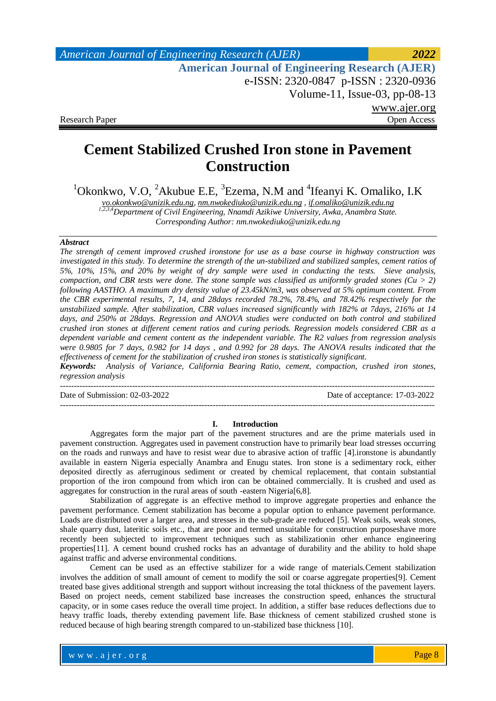# **Cement Stabilized Crushed Iron stone in Pavement Construction**

 $1$ Okonkwo, V.O,  $2$ Akubue E.E,  $3$ Ezema, N.M and  $4$ Ifeanyi K. Omaliko, I.K

*[vo.okonkwo@unizik.edu.ng,](mailto:vo.okonkwo@unizik.edu.ng) [nm.nwokediuko@unizik.edu.ng](mailto:nm.nwokediuko@unizik.edu.ng) , [if.omaliko@unizik.edu.ng](mailto:if.omaliko@unizik.edu.ng) 1,2,3,4Department of Civil Engineering, Nnamdi Azikiwe University, Awka, Anambra State. Corresponding Author: nm.nwokediuko@unizik.edu.ng*

#### *Abstract*

*The strength of cement improved crushed ironstone for use as a base course in highway construction was investigated in this study. To determine the strength of the un-stabilized and stabilized samples, cement ratios of 5%, 10%, 15%, and 20% by weight of dry sample were used in conducting the tests. Sieve analysis, compaction, and CBR tests were done. The stone sample was classified as uniformly graded stones (Cu*  $> 2$ *) following AASTHO. A maximum dry density value of 23.45kN/m3, was observed at 5% optimum content. From the CBR experimental results, 7, 14, and 28days recorded 78.2%, 78.4%, and 78.42% respectively for the unstabilized sample. After stabilization, CBR values increased significantly with 182% at 7days, 216% at 14 days, and 250% at 28days. Regression and ANOVA studies were conducted on both control and stabilized crushed iron stones at different cement ratios and curing periods. Regression models considered CBR as a dependent variable and cement content as the independent variable. The R2 values from regression analysis were 0.9805 for 7 days, 0.982 for 14 days , and 0.992 for 28 days. The ANOVA results indicated that the effectiveness of cement for the stabilization of crushed iron stones is statistically significant.*

*Keywords: Analysis of Variance, California Bearing Ratio, cement, compaction, crushed iron stones, regression analysis* ---------------------------------------------------------------------------------------------------------------------------------------

Date of Submission: 02-03-2022 Date of acceptance: 17-03-2022

#### **I. Introduction**

---------------------------------------------------------------------------------------------------------------------------------------

Aggregates form the major part of the pavement structures and are the prime materials used in pavement construction. Aggregates used in pavement construction have to primarily bear load stresses occurring on the roads and runways and have to resist wear due to abrasive action of traffic [4].ironstone is abundantly available in eastern Nigeria especially Anambra and Enugu states. Iron stone is a sedimentary rock, either deposited directly as aferruginous sediment or created by chemical replacement, that contain substantial proportion of the iron compound from which iron can be obtained commercially. It is crushed and used as aggregates for construction in the rural areas of south -eastern Nigeria[6,8].

Stabilization of aggregate is an effective method to improve aggregate properties and enhance the pavement performance. Cement stabilization has become a popular option to enhance pavement performance. Loads are distributed over a larger area, and stresses in the sub-grade are reduced [5]. Weak soils, weak stones, shale quarry dust, lateritic soils etc., that are poor and termed unsuitable for construction purposeshave more recently been subjected to improvement techniques such as stabilizationin other enhance engineering properties[11]. A cement bound crushed rocks has an advantage of durability and the ability to hold shape against traffic and adverse environmental conditions.

Cement can be used as an effective stabilizer for a wide range of materials.Cement stabilization involves the addition of small amount of cement to modify the soil or coarse aggregate properties[9]. Cement treated base gives additional strength and support without increasing the total thickness of the pavement layers. Based on project needs, cement stabilized base increases the construction speed, enhances the structural capacity, or in some cases reduce the overall time project. In addition, a stiffer base reduces deflections due to heavy traffic loads, thereby extending pavement life. Base thickness of cement stabilized crushed stone is reduced because of high bearing strength compared to un-stabilized base thickness [10].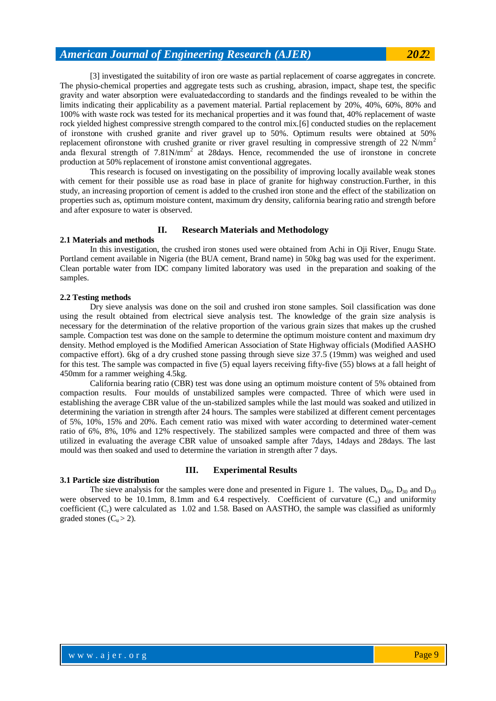[3] investigated the suitability of iron ore waste as partial replacement of coarse aggregates in concrete. The physio-chemical properties and aggregate tests such as crushing, abrasion, impact, shape test, the specific gravity and water absorption were evaluatedaccording to standards and the findings revealed to be within the limits indicating their applicability as a pavement material. Partial replacement by 20%, 40%, 60%, 80% and 100% with waste rock was tested for its mechanical properties and it was found that, 40% replacement of waste rock yielded highest compressive strength compared to the control mix.[6] conducted studies on the replacement of ironstone with crushed granite and river gravel up to 50%. Optimum results were obtained at 50% replacement of ironstone with crushed granite or river gravel resulting in compressive strength of 22 N/mm<sup>2</sup> anda flexural strength of 7.81N/mm<sup>2</sup> at 28days. Hence, recommended the use of ironstone in concrete production at 50% replacement of ironstone amist conventional aggregates.

This research is focused on investigating on the possibility of improving locally available weak stones with cement for their possible use as road base in place of granite for highway construction.Further, in this study, an increasing proportion of cement is added to the crushed iron stone and the effect of the stabilization on properties such as, optimum moisture content, maximum dry density, california bearing ratio and strength before and after exposure to water is observed.

#### **II. Research Materials and Methodology**

## **2.1 Materials and methods**

In this investigation, the crushed iron stones used were obtained from Achi in Oji River, Enugu State. Portland cement available in Nigeria (the BUA cement, Brand name) in 50kg bag was used for the experiment. Clean portable water from IDC company limited laboratory was used in the preparation and soaking of the samples.

## **2.2 Testing methods**

Dry sieve analysis was done on the soil and crushed iron stone samples. Soil classification was done using the result obtained from electrical sieve analysis test. The knowledge of the grain size analysis is necessary for the determination of the relative proportion of the various grain sizes that makes up the crushed sample. Compaction test was done on the sample to determine the optimum moisture content and maximum dry density. Method employed is the Modified American Association of State Highway officials (Modified AASHO compactive effort). 6kg of a dry crushed stone passing through sieve size 37.5 (19mm) was weighed and used for this test. The sample was compacted in five (5) equal layers receiving fifty-five (55) blows at a fall height of 450mm for a rammer weighing 4.5kg.

California bearing ratio (CBR) test was done using an optimum moisture content of 5% obtained from compaction results. Four moulds of unstabilized samples were compacted. Three of which were used in establishing the average CBR value of the un-stabilized samples while the last mould was soaked and utilized in determining the variation in strength after 24 hours. The samples were stabilized at different cement percentages of 5%, 10%, 15% and 20%. Each cement ratio was mixed with water according to determined water-cement ratio of 6%, 8%, 10% and 12% respectively. The stabilized samples were compacted and three of them was utilized in evaluating the average CBR value of unsoaked sample after 7days, 14days and 28days. The last mould was then soaked and used to determine the variation in strength after 7 days.

#### **3.1 Particle size distribution**

# **III. Experimental Results**

The sieve analysis for the samples were done and presented in Figure 1. The values,  $D_{60}$ ,  $D_{30}$  and  $D_{10}$ were observed to be 10.1mm, 8.1mm and 6.4 respectively. Coefficient of curvature  $(C<sub>u</sub>)$  and uniformity coefficient  $(C_c)$  were calculated as 1.02 and 1.58. Based on AASTHO, the sample was classified as uniformly graded stones  $(C<sub>u</sub> > 2)$ .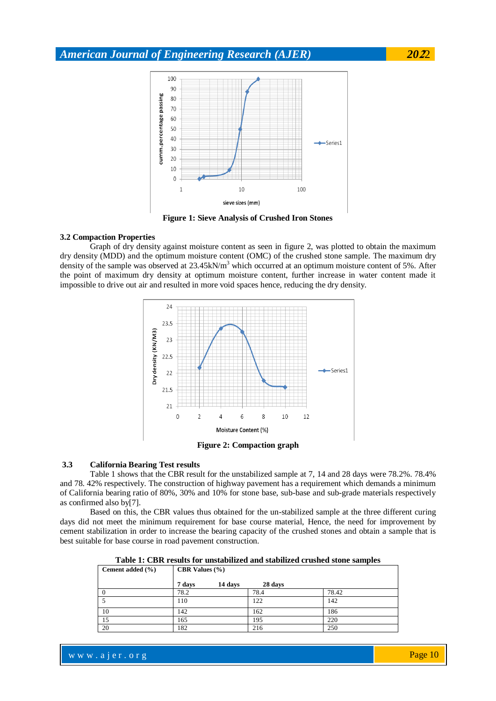

**Figure 1: Sieve Analysis of Crushed Iron Stones**

#### **3.2 Compaction Properties**

Graph of dry density against moisture content as seen in figure 2, was plotted to obtain the maximum dry density (MDD) and the optimum moisture content (OMC) of the crushed stone sample. The maximum dry density of the sample was observed at 23.45kN/m<sup>3</sup> which occurred at an optimum moisture content of 5%. After the point of maximum dry density at optimum moisture content, further increase in water content made it impossible to drive out air and resulted in more void spaces hence, reducing the dry density.



**Figure 2: Compaction graph**

#### **3.3 California Bearing Test results**

Table 1 shows that the CBR result for the unstabilized sample at 7, 14 and 28 days were 78.2%. 78.4% and 78. 42% respectively. The construction of highway pavement has a requirement which demands a minimum of California bearing ratio of 80%, 30% and 10% for stone base, sub-base and sub-grade materials respectively as confirmed also by[7].

Based on this, the CBR values thus obtained for the un-stabilized sample at the three different curing days did not meet the minimum requirement for base course material, Hence, the need for improvement by cement stabilization in order to increase the bearing capacity of the crushed stones and obtain a sample that is best suitable for base course in road pavement construction.

| Cement added $(\% )$ | <b>CBR</b> Values $(\% )$ |         |       |
|----------------------|---------------------------|---------|-------|
|                      | 14 days<br>7 days         | 28 days |       |
|                      | 78.2                      | 78.4    | 78.42 |
|                      | 110                       | 122     | 142   |
| 10                   | 142                       | 162     | 186   |
| 15                   | 165                       | 195     | 220   |
| 20                   | 182                       | 216     | 250   |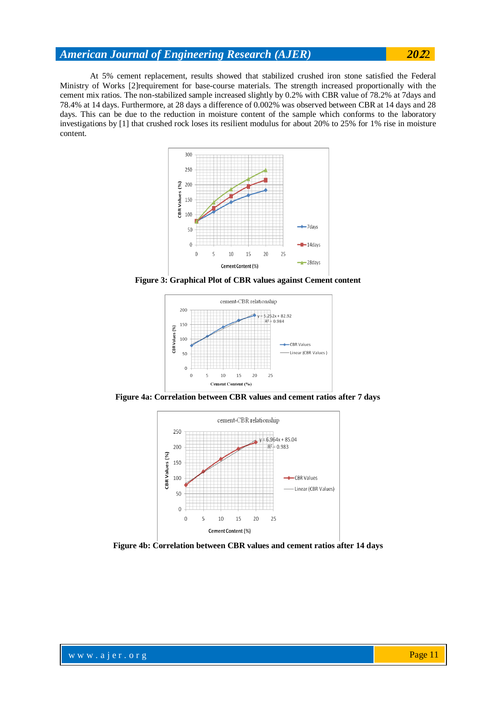At 5% cement replacement, results showed that stabilized crushed iron stone satisfied the Federal Ministry of Works [2]requirement for base-course materials. The strength increased proportionally with the cement mix ratios. The non-stabilized sample increased slightly by 0.2% with CBR value of 78.2% at 7days and 78.4% at 14 days. Furthermore, at 28 days a difference of 0.002% was observed between CBR at 14 days and 28 days. This can be due to the reduction in moisture content of the sample which conforms to the laboratory investigations by [1] that crushed rock loses its resilient modulus for about 20% to 25% for 1% rise in moisture content.



**Figure 3: Graphical Plot of CBR values against Cement content**



**Figure 4a: Correlation between CBR values and cement ratios after 7 days**



**Figure 4b: Correlation between CBR values and cement ratios after 14 days**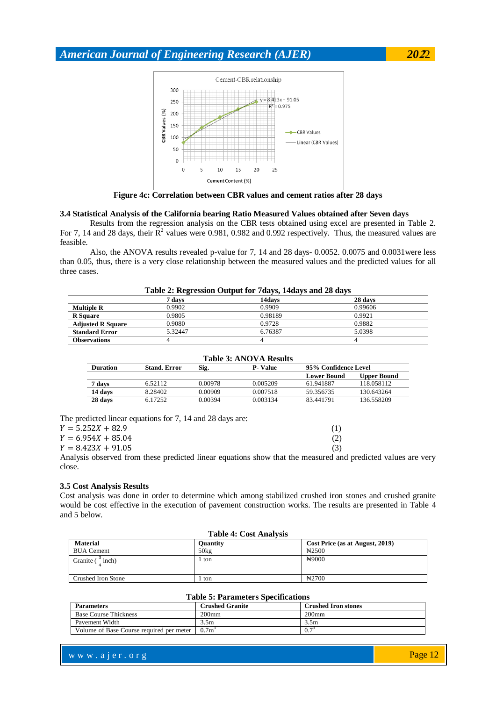

**Figure 4c: Correlation between CBR values and cement ratios after 28 days**

# **3.4 Statistical Analysis of the California bearing Ratio Measured Values obtained after Seven days**

Results from the regression analysis on the CBR tests obtained using excel are presented in Table 2. For 7, 14 and 28 days, their  $\mathbb{R}^2$  values were 0.981, 0.982 and 0.992 respectively. Thus, the measured values are feasible.

Also, the ANOVA results revealed p-value for 7, 14 and 28 days- 0.0052. 0.0075 and 0.0031were less than 0.05, thus, there is a very close relationship between the measured values and the predicted values for all three cases.

| Table 2: Regression Output for 7 days, 14 days and 28 days |         |         |         |  |
|------------------------------------------------------------|---------|---------|---------|--|
|                                                            | 7 days  | 14days  | 28 days |  |
| <b>Multiple R</b>                                          | 0.9902  | 0.9909  | 0.99606 |  |
| <b>R</b> Square                                            | 0.9805  | 0.98189 | 0.9921  |  |
| <b>Adjusted R Square</b>                                   | 0.9080  | 0.9728  | 0.9882  |  |
| <b>Standard Error</b>                                      | 5.32447 | 6.76387 | 5.0398  |  |
| <b>Observations</b>                                        |         |         |         |  |

| <b>Table 3: ANOVA Results</b> |                     |         |                  |                      |                    |
|-------------------------------|---------------------|---------|------------------|----------------------|--------------------|
| <b>Duration</b>               | <b>Stand. Error</b> | Sig.    | <b>P</b> - Value | 95% Confidence Level |                    |
|                               |                     |         |                  | <b>Lower Bound</b>   | <b>Upper Bound</b> |
| 7 days                        | 6.52112             | 0.00978 | 0.005209         | 61.941887            | 118.058112         |
| 14 days                       | 8.28402             | 0.00909 | 0.007518         | 59.356735            | 130.643264         |
| 28 days                       | 6.17252             | 0.00394 | 0.003134         | 83.441791            | 136.558209         |

The predicted linear equations for 7, 14 and 28 days are:

| $Y = 5.252X + 82.9$                                                                      | (1) |
|------------------------------------------------------------------------------------------|-----|
| $Y = 6.954X + 85.04$                                                                     | (2) |
| $Y = 8.423X + 91.05$                                                                     | (3) |
| Analysis observed from these predicted linear equations show that the measured and predi |     |

icted values are very close.

## **3.5 Cost Analysis Results**

Cost analysis was done in order to determine which among stabilized crushed iron stones and crushed granite would be cost effective in the execution of pavement construction works. The results are presented in Table 4 and 5 below.

# **Table 4: Cost Analysis**

| <b>Material</b>              | Ouantitv | Cost Price (as at August, 2019) |
|------------------------------|----------|---------------------------------|
| <b>BUA Cement</b>            | 50kg     | $\pm 2500$                      |
| Granite $(\frac{3}{2}$ inch) | ton      | $*9000$                         |
| Crushed Iron Stone           | ton      | $\mathbb{N}2700$                |

# **Table 5: Parameters Specifications**

| <b>Parameters</b>                        | Crushed Granite | Crushed Iron stones |
|------------------------------------------|-----------------|---------------------|
| <b>Base Course Thickness</b>             | $200$ mm        | $200$ mm            |
| Payement Width                           | 3.5m            | 3.5m                |
| Volume of Base Course required per meter | $0.7m^3$        | $0.7^{3}$           |

www.ajer.org where  $\mathcal{L} = \mathcal{L} \left( \mathcal{L} \right)$  is the set of  $\mathcal{L} \left( \mathcal{L} \right)$ 

Page 12